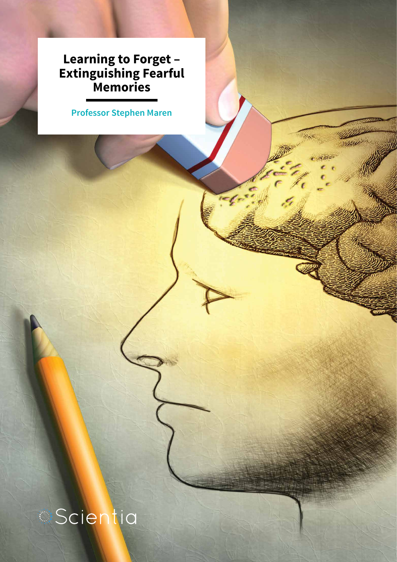### **Learning to Forget – Extinguishing Fearful Memories**

**Professor Stephen Maren**

ilite

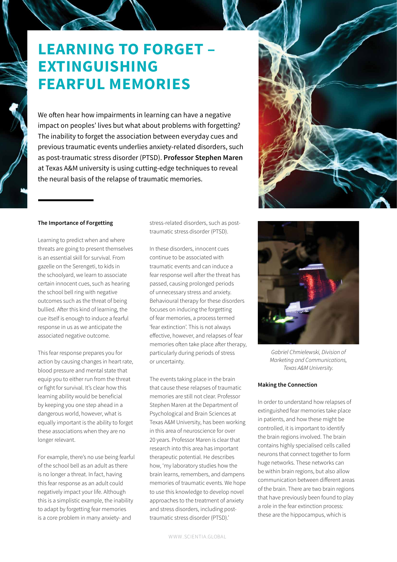## **LEARNING TO FORGET – EXTINGUISHING FEARFUL MEMORIES**

We often hear how impairments in learning can have a negative impact on peoples' lives but what about problems with forgetting? The inability to forget the association between everyday cues and previous traumatic events underlies anxiety-related disorders, such as post-traumatic stress disorder (PTSD). **Professor Stephen Maren** at Texas A&M university is using cutting-edge techniques to reveal the neural basis of the relapse of traumatic memories.

### **The Importance of Forgetting**

Learning to predict when and where threats are going to present themselves is an essential skill for survival. From gazelle on the Serengeti, to kids in the schoolyard, we learn to associate certain innocent cues, such as hearing the school bell ring with negative outcomes such as the threat of being bullied. After this kind of learning, the cue itself is enough to induce a fearful response in us as we anticipate the associated negative outcome.

This fear response prepares you for action by causing changes in heart rate, blood pressure and mental state that equip you to either run from the threat or fight for survival. It's clear how this learning ability would be beneficial by keeping you one step ahead in a dangerous world, however, what is equally important is the ability to forget these associations when they are no longer relevant.

For example, there's no use being fearful of the school bell as an adult as there is no longer a threat. In fact, having this fear response as an adult could negatively impact your life. Although this is a simplistic example, the inability to adapt by forgetting fear memories is a core problem in many anxiety- and

stress-related disorders, such as posttraumatic stress disorder (PTSD).

In these disorders, innocent cues continue to be associated with traumatic events and can induce a fear response well after the threat has passed, causing prolonged periods of unnecessary stress and anxiety. Behavioural therapy for these disorders focuses on inducing the forgetting of fear memories, a process termed 'fear extinction'. This is not always effective, however, and relapses of fear memories often take place after therapy, particularly during periods of stress or uncertainty.

The events taking place in the brain that cause these relapses of traumatic memories are still not clear. Professor Stephen Maren at the Department of Psychological and Brain Sciences at Texas A&M University, has been working in this area of neuroscience for over 20 years. Professor Maren is clear that research into this area has important therapeutic potential. He describes how, 'my laboratory studies how the brain learns, remembers, and dampens memories of traumatic events. We hope to use this knowledge to develop novel approaches to the treatment of anxiety and stress disorders, including posttraumatic stress disorder (PTSD).'



*Gabriel Chmielewski, Division of Marketing and Communications, Texas A&M University.*

### **Making the Connection**

In order to understand how relapses of extinguished fear memories take place in patients, and how these might be controlled, it is important to identify the brain regions involved. The brain contains highly specialised cells called neurons that connect together to form huge networks. These networks can be within brain regions, but also allow communication between different areas of the brain. There are two brain regions that have previously been found to play a role in the fear extinction process: these are the hippocampus, which is

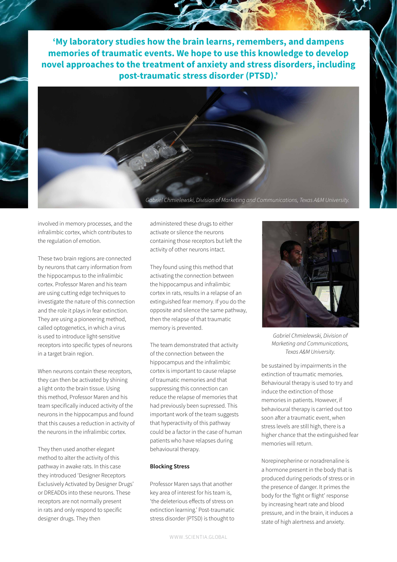**'My laboratory studies how the brain learns, remembers, and dampens memories of traumatic events. We hope to use this knowledge to develop novel approaches to the treatment of anxiety and stress disorders, including post-traumatic stress disorder (PTSD).'**



involved in memory processes, and the infralimbic cortex, which contributes to the regulation of emotion.

These two brain regions are connected by neurons that carry information from the hippocampus to the infralimbic cortex. Professor Maren and his team are using cutting edge techniques to investigate the nature of this connection and the role it plays in fear extinction. They are using a pioneering method, called optogenetics, in which a virus is used to introduce light-sensitive receptors into specific types of neurons in a target brain region.

When neurons contain these receptors, they can then be activated by shining a light onto the brain tissue. Using this method, Professor Maren and his team specifically induced activity of the neurons in the hippocampus and found that this causes a reduction in activity of the neurons in the infralimbic cortex.

They then used another elegant method to alter the activity of this pathway in awake rats. In this case they introduced 'Designer Receptors Exclusively Activated by Designer Drugs' or DREADDs into these neurons. These receptors are not normally present in rats and only respond to specific designer drugs. They then

administered these drugs to either activate or silence the neurons containing those receptors but left the activity of other neurons intact.

They found using this method that activating the connection between the hippocampus and infralimbic cortex in rats, results in a relapse of an extinguished fear memory. If you do the opposite and silence the same pathway, then the relapse of that traumatic memory is prevented.

The team demonstrated that activity of the connection between the hippocampus and the infralimbic cortex is important to cause relapse of traumatic memories and that suppressing this connection can reduce the relapse of memories that had previously been supressed. This important work of the team suggests that hyperactivity of this pathway could be a factor in the case of human patients who have relapses during behavioural therapy.

#### **Blocking Stress**

Professor Maren says that another key area of interest for his team is, 'the deleterious effects of stress on extinction learning.' Post-traumatic stress disorder (PTSD) is thought to





be sustained by impairments in the *Texas A&M University.*

extinction of traumatic memories. Behavioural therapy is used to try and induce the extinction of those memories in patients. However, if behavioural therapy is carried out too soon after a traumatic event, when stress levels are still high, there is a higher chance that the extinguished fear memories will return.

Norepinepherine or noradrenaline is a hormone present in the body that is produced during periods of stress or in the presence of danger. It primes the body for the 'fight or flight' response by increasing heart rate and blood pressure, and in the brain, it induces a state of high alertness and anxiety.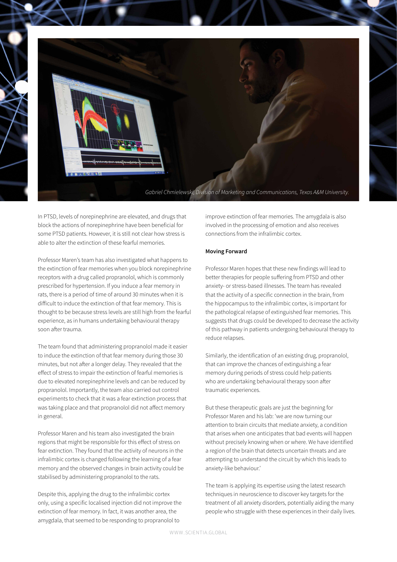

In PTSD, levels of norepinephrine are elevated, and drugs that block the actions of norepinephrine have been beneficial for some PTSD patients. However, it is still not clear how stress is able to alter the extinction of these fearful memories.

Professor Maren's team has also investigated what happens to the extinction of fear memories when you block norepinephrine receptors with a drug called propranolol, which is commonly prescribed for hypertension. If you induce a fear memory in rats, there is a period of time of around 30 minutes when it is difficult to induce the extinction of that fear memory. This is thought to be because stress levels are still high from the fearful experience, as in humans undertaking behavioural therapy soon after trauma.

The team found that administering propranolol made it easier to induce the extinction of that fear memory during those 30 minutes, but not after a longer delay. They revealed that the effect of stress to impair the extinction of fearful memories is due to elevated norepinephrine levels and can be reduced by propranolol. Importantly, the team also carried out control experiments to check that it was a fear extinction process that was taking place and that propranolol did not affect memory in general.

Professor Maren and his team also investigated the brain regions that might be responsible for this effect of stress on fear extinction. They found that the activity of neurons in the infralimbic cortex is changed following the learning of a fear memory and the observed changes in brain activity could be stabilised by administering propranolol to the rats.

Despite this, applying the drug to the infralimbic cortex only, using a specific localised injection did not improve the extinction of fear memory. In fact, it was another area, the amygdala, that seemed to be responding to propranolol to

improve extinction of fear memories. The amygdala is also involved in the processing of emotion and also receives connections from the infralimbic cortex.

### **Moving Forward**

Professor Maren hopes that these new findings will lead to better therapies for people suffering from PTSD and other anxiety- or stress-based illnesses. The team has revealed that the activity of a specific connection in the brain, from the hippocampus to the infralimbic cortex, is important for the pathological relapse of extinguished fear memories. This suggests that drugs could be developed to decrease the activity of this pathway in patients undergoing behavioural therapy to reduce relapses.

Similarly, the identification of an existing drug, propranolol, that can improve the chances of extinguishing a fear memory during periods of stress could help patients who are undertaking behavioural therapy soon after traumatic experiences.

But these therapeutic goals are just the beginning for Professor Maren and his lab: 'we are now turning our attention to brain circuits that mediate anxiety, a condition that arises when one anticipates that bad events will happen without precisely knowing when or where. We have identified a region of the brain that detects uncertain threats and are attempting to understand the circuit by which this leads to anxiety-like behaviour.'

The team is applying its expertise using the latest research techniques in neuroscience to discover key targets for the treatment of all anxiety disorders, potentially aiding the many people who struggle with these experiences in their daily lives.